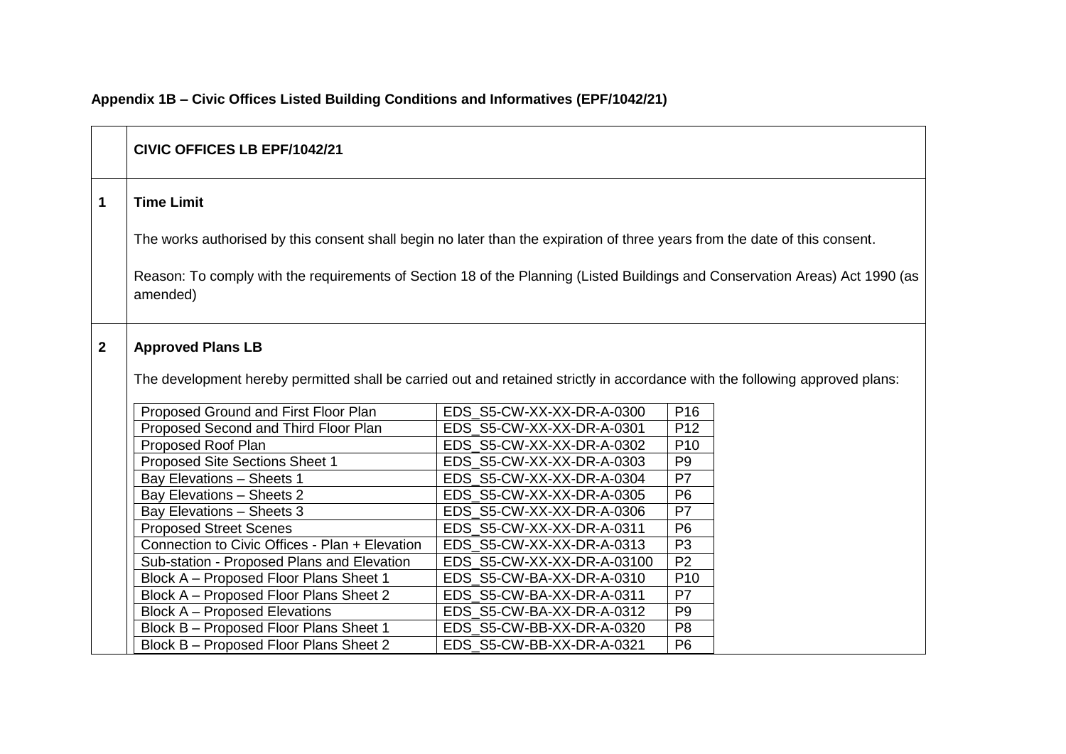|                | CIVIC OFFICES LB EPF/1042/21                                                                                                             |                            |                 |  |  |
|----------------|------------------------------------------------------------------------------------------------------------------------------------------|----------------------------|-----------------|--|--|
| $\mathbf 1$    | <b>Time Limit</b>                                                                                                                        |                            |                 |  |  |
|                | The works authorised by this consent shall begin no later than the expiration of three years from the date of this consent.              |                            |                 |  |  |
|                | Reason: To comply with the requirements of Section 18 of the Planning (Listed Buildings and Conservation Areas) Act 1990 (as<br>amended) |                            |                 |  |  |
| $\overline{2}$ | <b>Approved Plans LB</b>                                                                                                                 |                            |                 |  |  |
|                | The development hereby permitted shall be carried out and retained strictly in accordance with the following approved plans:             |                            |                 |  |  |
|                | Proposed Ground and First Floor Plan                                                                                                     | EDS_S5-CW-XX-XX-DR-A-0300  | P <sub>16</sub> |  |  |
|                | Proposed Second and Third Floor Plan                                                                                                     | EDS S5-CW-XX-XX-DR-A-0301  | P <sub>12</sub> |  |  |
|                | Proposed Roof Plan                                                                                                                       | EDS S5-CW-XX-XX-DR-A-0302  | P <sub>10</sub> |  |  |
|                | Proposed Site Sections Sheet 1                                                                                                           | EDS_S5-CW-XX-XX-DR-A-0303  | P <sub>9</sub>  |  |  |
|                | Bay Elevations - Sheets 1                                                                                                                | EDS S5-CW-XX-XX-DR-A-0304  | P7              |  |  |
|                | Bay Elevations - Sheets 2                                                                                                                | EDS S5-CW-XX-XX-DR-A-0305  | P <sub>6</sub>  |  |  |
|                | Bay Elevations - Sheets 3                                                                                                                | EDS_S5-CW-XX-XX-DR-A-0306  | P7              |  |  |
|                | <b>Proposed Street Scenes</b>                                                                                                            | EDS S5-CW-XX-XX-DR-A-0311  | P6              |  |  |
|                | Connection to Civic Offices - Plan + Elevation                                                                                           | EDS S5-CW-XX-XX-DR-A-0313  | P <sub>3</sub>  |  |  |
|                | Sub-station - Proposed Plans and Elevation                                                                                               | EDS S5-CW-XX-XX-DR-A-03100 | P <sub>2</sub>  |  |  |
|                | Block A - Proposed Floor Plans Sheet 1                                                                                                   | EDS_S5-CW-BA-XX-DR-A-0310  | P <sub>10</sub> |  |  |
|                | Block A - Proposed Floor Plans Sheet 2                                                                                                   | EDS_S5-CW-BA-XX-DR-A-0311  | P7              |  |  |
|                | <b>Block A - Proposed Elevations</b>                                                                                                     | EDS S5-CW-BA-XX-DR-A-0312  | P <sub>9</sub>  |  |  |
|                | Block B - Proposed Floor Plans Sheet 1                                                                                                   | EDS S5-CW-BB-XX-DR-A-0320  | P <sub>8</sub>  |  |  |
|                | Block B - Proposed Floor Plans Sheet 2                                                                                                   | EDS S5-CW-BB-XX-DR-A-0321  | P <sub>6</sub>  |  |  |

## **Appendix 1B – Civic Offices Listed Building Conditions and Informatives (EPF/1042/21)**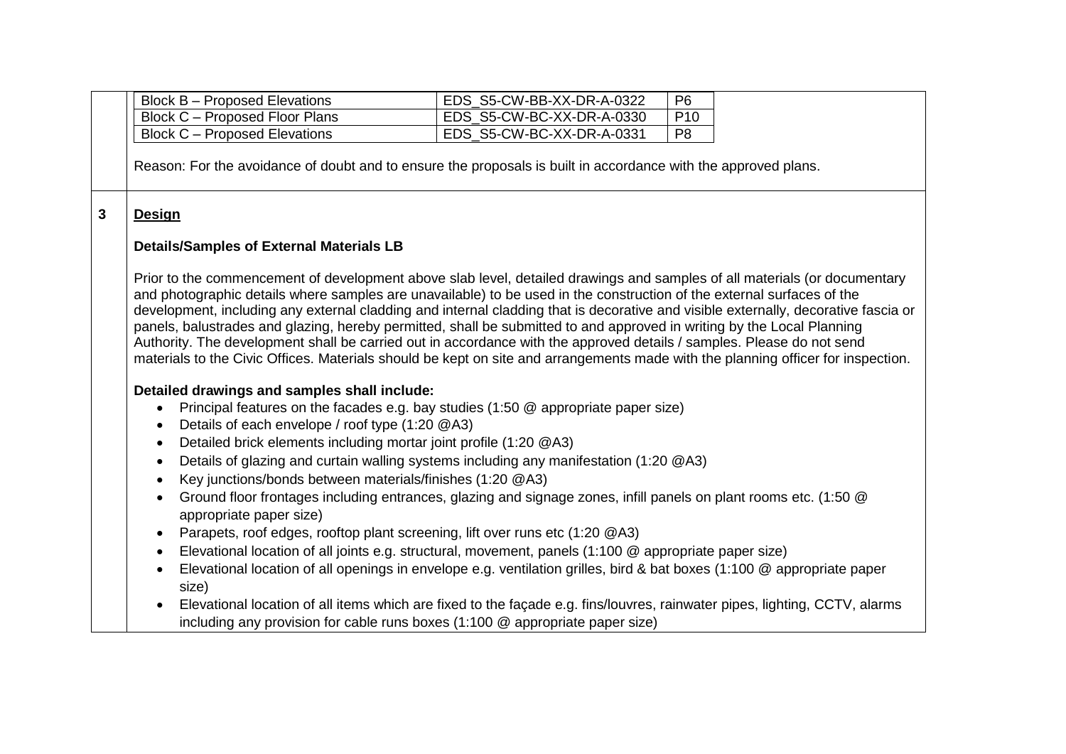|   | <b>Block B - Proposed Elevations</b>                                                                                                                                                                                                                                                                                                                                                                                                                                                                                                                                                                                                                                                                                                                                             | EDS_S5-CW-BB-XX-DR-A-0322                                                                                                                                                                                      | P <sub>6</sub>  |  |  |
|---|----------------------------------------------------------------------------------------------------------------------------------------------------------------------------------------------------------------------------------------------------------------------------------------------------------------------------------------------------------------------------------------------------------------------------------------------------------------------------------------------------------------------------------------------------------------------------------------------------------------------------------------------------------------------------------------------------------------------------------------------------------------------------------|----------------------------------------------------------------------------------------------------------------------------------------------------------------------------------------------------------------|-----------------|--|--|
|   | Block C - Proposed Floor Plans                                                                                                                                                                                                                                                                                                                                                                                                                                                                                                                                                                                                                                                                                                                                                   | EDS S5-CW-BC-XX-DR-A-0330                                                                                                                                                                                      | P <sub>10</sub> |  |  |
|   | <b>Block C - Proposed Elevations</b>                                                                                                                                                                                                                                                                                                                                                                                                                                                                                                                                                                                                                                                                                                                                             | EDS_S5-CW-BC-XX-DR-A-0331                                                                                                                                                                                      | P <sub>8</sub>  |  |  |
|   | Reason: For the avoidance of doubt and to ensure the proposals is built in accordance with the approved plans.                                                                                                                                                                                                                                                                                                                                                                                                                                                                                                                                                                                                                                                                   |                                                                                                                                                                                                                |                 |  |  |
|   |                                                                                                                                                                                                                                                                                                                                                                                                                                                                                                                                                                                                                                                                                                                                                                                  |                                                                                                                                                                                                                |                 |  |  |
| 3 | <b>Design</b>                                                                                                                                                                                                                                                                                                                                                                                                                                                                                                                                                                                                                                                                                                                                                                    |                                                                                                                                                                                                                |                 |  |  |
|   | <b>Details/Samples of External Materials LB</b>                                                                                                                                                                                                                                                                                                                                                                                                                                                                                                                                                                                                                                                                                                                                  |                                                                                                                                                                                                                |                 |  |  |
|   | Prior to the commencement of development above slab level, detailed drawings and samples of all materials (or documentary<br>and photographic details where samples are unavailable) to be used in the construction of the external surfaces of the<br>development, including any external cladding and internal cladding that is decorative and visible externally, decorative fascia or<br>panels, balustrades and glazing, hereby permitted, shall be submitted to and approved in writing by the Local Planning<br>Authority. The development shall be carried out in accordance with the approved details / samples. Please do not send<br>materials to the Civic Offices. Materials should be kept on site and arrangements made with the planning officer for inspection. |                                                                                                                                                                                                                |                 |  |  |
|   | Detailed drawings and samples shall include:<br>$\bullet$<br>Details of each envelope / roof type (1:20 @A3)<br>$\bullet$                                                                                                                                                                                                                                                                                                                                                                                                                                                                                                                                                                                                                                                        | Principal features on the facades e.g. bay studies (1:50 @ appropriate paper size)                                                                                                                             |                 |  |  |
|   | Detailed brick elements including mortar joint profile (1:20 @A3)<br>$\bullet$<br>Details of glazing and curtain walling systems including any manifestation (1:20 @A3)<br>$\bullet$<br>Key junctions/bonds between materials/finishes (1:20 @A3)<br>$\bullet$<br>Ground floor frontages including entrances, glazing and signage zones, infill panels on plant rooms etc. (1:50 @<br>$\bullet$<br>appropriate paper size)                                                                                                                                                                                                                                                                                                                                                       |                                                                                                                                                                                                                |                 |  |  |
|   |                                                                                                                                                                                                                                                                                                                                                                                                                                                                                                                                                                                                                                                                                                                                                                                  |                                                                                                                                                                                                                |                 |  |  |
|   | $\bullet$                                                                                                                                                                                                                                                                                                                                                                                                                                                                                                                                                                                                                                                                                                                                                                        | Parapets, roof edges, rooftop plant screening, lift over runs etc (1:20 @A3)                                                                                                                                   |                 |  |  |
|   | Elevational location of all joints e.g. structural, movement, panels (1:100 @ appropriate paper size)<br>$\bullet$                                                                                                                                                                                                                                                                                                                                                                                                                                                                                                                                                                                                                                                               |                                                                                                                                                                                                                |                 |  |  |
|   | $\bullet$<br>size)                                                                                                                                                                                                                                                                                                                                                                                                                                                                                                                                                                                                                                                                                                                                                               | Elevational location of all openings in envelope e.g. ventilation grilles, bird & bat boxes (1:100 @ appropriate paper                                                                                         |                 |  |  |
|   | $\bullet$                                                                                                                                                                                                                                                                                                                                                                                                                                                                                                                                                                                                                                                                                                                                                                        | Elevational location of all items which are fixed to the façade e.g. fins/louvres, rainwater pipes, lighting, CCTV, alarms<br>including any provision for cable runs boxes $(1:100 \&$ appropriate paper size) |                 |  |  |
|   |                                                                                                                                                                                                                                                                                                                                                                                                                                                                                                                                                                                                                                                                                                                                                                                  |                                                                                                                                                                                                                |                 |  |  |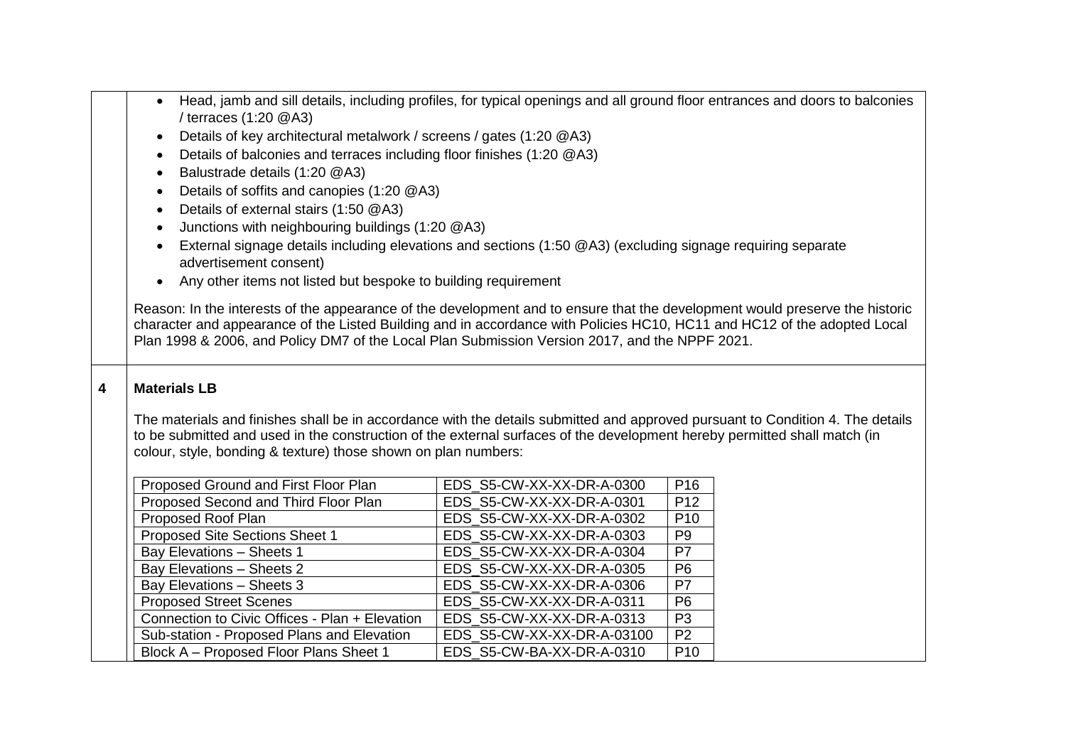|                         | Head, jamb and sill details, including profiles, for typical openings and all ground floor entrances and doors to balconies<br>$\bullet$                                                                                                                    |                            |                 |  |  |
|-------------------------|-------------------------------------------------------------------------------------------------------------------------------------------------------------------------------------------------------------------------------------------------------------|----------------------------|-----------------|--|--|
|                         | / terraces $(1:20 \text{ @A3})$                                                                                                                                                                                                                             |                            |                 |  |  |
|                         | Details of key architectural metalwork / screens / gates (1:20 @A3)<br>$\bullet$                                                                                                                                                                            |                            |                 |  |  |
|                         | Details of balconies and terraces including floor finishes (1:20 @A3)<br>$\bullet$                                                                                                                                                                          |                            |                 |  |  |
|                         | Balustrade details (1:20 @A3)<br>$\bullet$                                                                                                                                                                                                                  |                            |                 |  |  |
|                         | Details of soffits and canopies (1:20 @A3)<br>$\bullet$                                                                                                                                                                                                     |                            |                 |  |  |
|                         | Details of external stairs (1:50 @A3)<br>$\bullet$                                                                                                                                                                                                          |                            |                 |  |  |
|                         | Junctions with neighbouring buildings (1:20 @A3)<br>$\bullet$                                                                                                                                                                                               |                            |                 |  |  |
|                         | External signage details including elevations and sections (1:50 @A3) (excluding signage requiring separate<br>$\bullet$<br>advertisement consent)                                                                                                          |                            |                 |  |  |
|                         | Any other items not listed but bespoke to building requirement<br>$\bullet$                                                                                                                                                                                 |                            |                 |  |  |
|                         |                                                                                                                                                                                                                                                             |                            |                 |  |  |
|                         | Reason: In the interests of the appearance of the development and to ensure that the development would preserve the historic                                                                                                                                |                            |                 |  |  |
|                         | character and appearance of the Listed Building and in accordance with Policies HC10, HC11 and HC12 of the adopted Local                                                                                                                                    |                            |                 |  |  |
|                         | Plan 1998 & 2006, and Policy DM7 of the Local Plan Submission Version 2017, and the NPPF 2021.                                                                                                                                                              |                            |                 |  |  |
|                         |                                                                                                                                                                                                                                                             |                            |                 |  |  |
| $\overline{\mathbf{4}}$ | <b>Materials LB</b>                                                                                                                                                                                                                                         |                            |                 |  |  |
|                         |                                                                                                                                                                                                                                                             |                            |                 |  |  |
|                         | The materials and finishes shall be in accordance with the details submitted and approved pursuant to Condition 4. The details<br>to be submitted and used in the construction of the external surfaces of the development hereby permitted shall match (in |                            |                 |  |  |
|                         |                                                                                                                                                                                                                                                             |                            |                 |  |  |
|                         | colour, style, bonding & texture) those shown on plan numbers:                                                                                                                                                                                              |                            |                 |  |  |
|                         | Proposed Ground and First Floor Plan                                                                                                                                                                                                                        | EDS_S5-CW-XX-XX-DR-A-0300  | P <sub>16</sub> |  |  |
|                         | Proposed Second and Third Floor Plan                                                                                                                                                                                                                        | EDS S5-CW-XX-XX-DR-A-0301  | P <sub>12</sub> |  |  |
|                         | Proposed Roof Plan                                                                                                                                                                                                                                          | EDS S5-CW-XX-XX-DR-A-0302  | P <sub>10</sub> |  |  |
|                         | Proposed Site Sections Sheet 1                                                                                                                                                                                                                              | EDS_S5-CW-XX-XX-DR-A-0303  | P <sub>9</sub>  |  |  |
|                         | Bay Elevations - Sheets 1                                                                                                                                                                                                                                   | EDS_S5-CW-XX-XX-DR-A-0304  | P7              |  |  |
|                         | Bay Elevations - Sheets 2                                                                                                                                                                                                                                   | EDS_S5-CW-XX-XX-DR-A-0305  | P <sub>6</sub>  |  |  |
|                         | Bay Elevations - Sheets 3                                                                                                                                                                                                                                   | EDS_S5-CW-XX-XX-DR-A-0306  | P7              |  |  |
|                         | <b>Proposed Street Scenes</b>                                                                                                                                                                                                                               | EDS S5-CW-XX-XX-DR-A-0311  | P <sub>6</sub>  |  |  |
|                         | Connection to Civic Offices - Plan + Elevation                                                                                                                                                                                                              | EDS_S5-CW-XX-XX-DR-A-0313  | P <sub>3</sub>  |  |  |
|                         | Sub-station - Proposed Plans and Elevation                                                                                                                                                                                                                  | EDS S5-CW-XX-XX-DR-A-03100 | P <sub>2</sub>  |  |  |
|                         | Block A - Proposed Floor Plans Sheet 1                                                                                                                                                                                                                      | EDS S5-CW-BA-XX-DR-A-0310  | P <sub>10</sub> |  |  |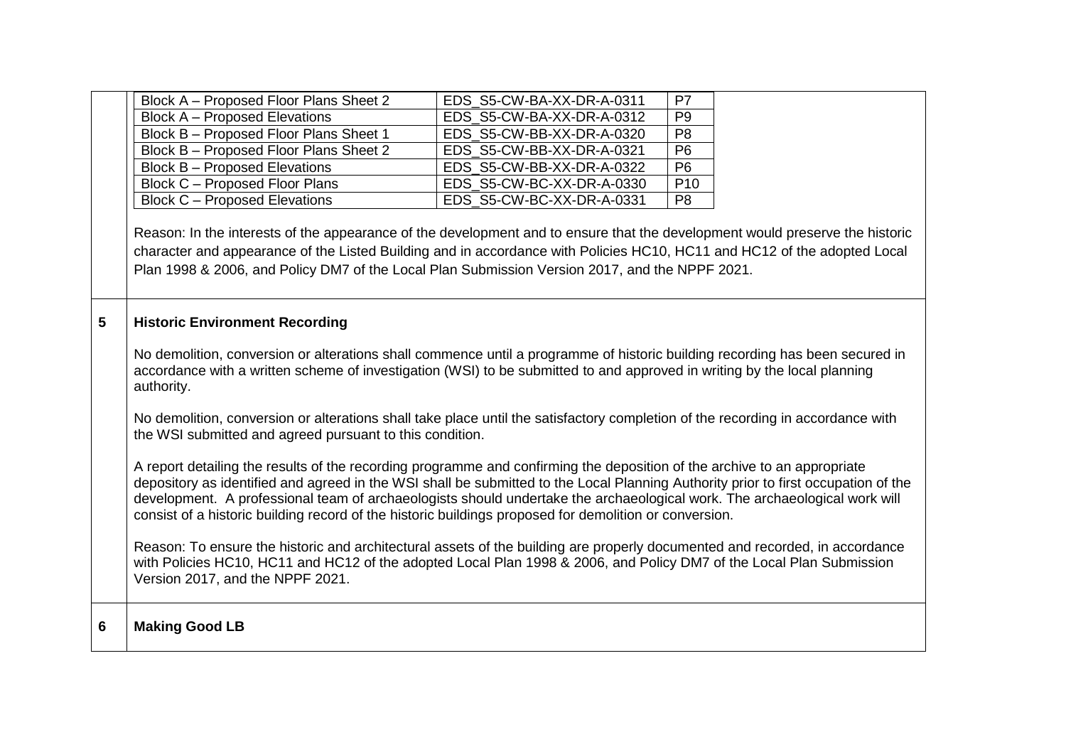|   | Block A - Proposed Floor Plans Sheet 2                                                                                                                                                                                                                                                                                                                                                                                                                                                                | EDS_S5-CW-BA-XX-DR-A-0311 | P7              |  |  |
|---|-------------------------------------------------------------------------------------------------------------------------------------------------------------------------------------------------------------------------------------------------------------------------------------------------------------------------------------------------------------------------------------------------------------------------------------------------------------------------------------------------------|---------------------------|-----------------|--|--|
|   | <b>Block A - Proposed Elevations</b>                                                                                                                                                                                                                                                                                                                                                                                                                                                                  | EDS S5-CW-BA-XX-DR-A-0312 | P <sub>9</sub>  |  |  |
|   | Block B - Proposed Floor Plans Sheet 1                                                                                                                                                                                                                                                                                                                                                                                                                                                                | EDS S5-CW-BB-XX-DR-A-0320 | P <sub>8</sub>  |  |  |
|   | Block B - Proposed Floor Plans Sheet 2                                                                                                                                                                                                                                                                                                                                                                                                                                                                | EDS S5-CW-BB-XX-DR-A-0321 | P <sub>6</sub>  |  |  |
|   | <b>Block B - Proposed Elevations</b>                                                                                                                                                                                                                                                                                                                                                                                                                                                                  | EDS S5-CW-BB-XX-DR-A-0322 | P <sub>6</sub>  |  |  |
|   | Block C - Proposed Floor Plans                                                                                                                                                                                                                                                                                                                                                                                                                                                                        | EDS S5-CW-BC-XX-DR-A-0330 | P <sub>10</sub> |  |  |
|   | <b>Block C - Proposed Elevations</b>                                                                                                                                                                                                                                                                                                                                                                                                                                                                  | EDS S5-CW-BC-XX-DR-A-0331 | P <sub>8</sub>  |  |  |
|   | Reason: In the interests of the appearance of the development and to ensure that the development would preserve the historic<br>character and appearance of the Listed Building and in accordance with Policies HC10, HC11 and HC12 of the adopted Local<br>Plan 1998 & 2006, and Policy DM7 of the Local Plan Submission Version 2017, and the NPPF 2021.                                                                                                                                            |                           |                 |  |  |
| 5 | <b>Historic Environment Recording</b>                                                                                                                                                                                                                                                                                                                                                                                                                                                                 |                           |                 |  |  |
|   | No demolition, conversion or alterations shall commence until a programme of historic building recording has been secured in<br>accordance with a written scheme of investigation (WSI) to be submitted to and approved in writing by the local planning<br>authority.                                                                                                                                                                                                                                |                           |                 |  |  |
|   | No demolition, conversion or alterations shall take place until the satisfactory completion of the recording in accordance with<br>the WSI submitted and agreed pursuant to this condition.                                                                                                                                                                                                                                                                                                           |                           |                 |  |  |
|   | A report detailing the results of the recording programme and confirming the deposition of the archive to an appropriate<br>depository as identified and agreed in the WSI shall be submitted to the Local Planning Authority prior to first occupation of the<br>development. A professional team of archaeologists should undertake the archaeological work. The archaeological work will<br>consist of a historic building record of the historic buildings proposed for demolition or conversion. |                           |                 |  |  |
|   | Reason: To ensure the historic and architectural assets of the building are properly documented and recorded, in accordance<br>with Policies HC10, HC11 and HC12 of the adopted Local Plan 1998 & 2006, and Policy DM7 of the Local Plan Submission<br>Version 2017, and the NPPF 2021.                                                                                                                                                                                                               |                           |                 |  |  |
| 6 | <b>Making Good LB</b>                                                                                                                                                                                                                                                                                                                                                                                                                                                                                 |                           |                 |  |  |